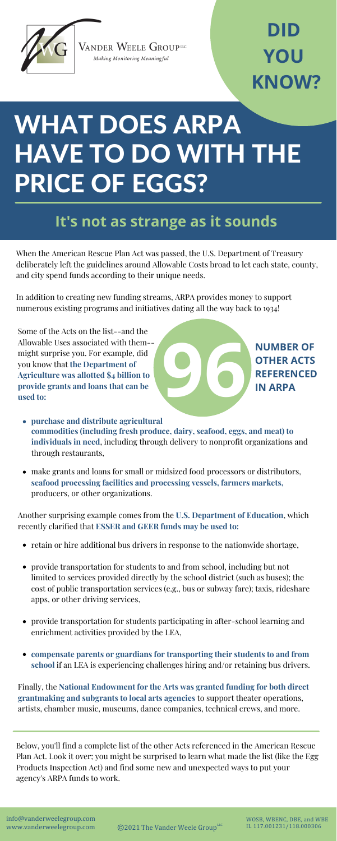

VANDER WEELE GROUPLE Making Monitoring Meaningful

# WHAT DOES ARPA HAVE TO DO WITH THE PRICE OF EGGS?

#### **It's not as strange as it sounds**

### **DID YOU KNOW?**

WOSB, WBENC, DBE, and WBE IL 117.001231/118.000306

info@vanderweelegroup.com www.vanderweelegroup.com

©2021 The Vander Weele GroupLLC

When the American Rescue Plan Act was passed, the U.S. Department of Treasury deliberately left the guidelines around Allowable Costs broad to let each state, county, and city spend funds according to their unique needs.

In addition to creating new funding streams, ARPA provides money to support numerous existing programs and initiatives dating all the way back to 1934!



Below, you'll find a complete list of the other Acts referenced in the American Rescue Plan Act. Look it over; you might be surprised to learn what made the list (like the Egg Products Inspection Act) and find some new and unexpected ways to put your agency's ARPA funds to work.

Some of the Acts on the list--and the Allowable Uses associated with them- might surprise you. For example, did you know that **the Department of Agriculture was allotted \$4 billion to provide grants and loans that can be used to:**

- retain or hire additional bus drivers in response to the nationwide shortage,
- provide transportation for students to and from school, including but not limited to services provided directly by the school district (such as buses); the cost of public transportation services (e.g., bus or subway fare); taxis, rideshare apps, or other driving services,
- provide transportation for students participating in after-school learning and enrichment activities provided by the LEA,
- **compensate parents or guardians for transporting their students to and from school** if an LEA is experiencing challenges hiring and/or retaining bus drivers.
- **purchase and distribute agricultural commodities (including fresh produce, dairy, seafood, eggs, and meat) to individuals in need**, including through delivery to nonprofit organizations and through restaurants,
- make grants and loans for small or midsized food processors or distributors, **seafood processing facilities and processing vessels, farmers markets,** producers, or other organizations.

Another surprising example comes from the **U.S. Department of Education**, which recently clarified that **ESSER and GEER funds may be used to:**

Finally, the **National Endowment for the Arts was granted funding for both direct grantmaking and subgrants to local arts agencies** to support theater operations, artists, chamber music, museums, dance companies, technical crews, and more.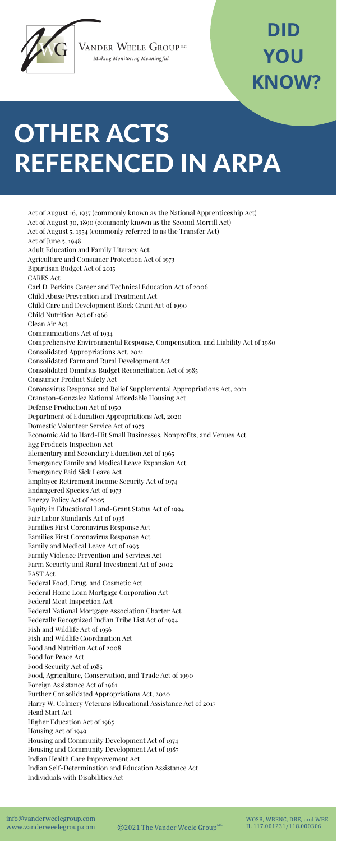

VANDER WEELE GROUPLE Making Monitoring Meaningful

# OTHER ACTS REFERENCED IN ARPA

### **DID YOU KNOW?**

WOSB, WBENC, DBE, and WBE IL 117.001231/118.000306

info@vanderweelegroup.com www.vanderweelegroup.com

 $@2021$  The Vander Weele GroupLLC

Act of August 16, 1937 (commonly known as the National Apprenticeship Act) Act of August 30, 1890 (commonly known as the Second Morrill Act) Act of August 5, 1954 (commonly referred to as the Transfer Act) Act of June 5, 1948 Adult Education and Family Literacy Act Agriculture and Consumer Protection Act of 1973 Bipartisan Budget Act of 2015 CARES Act Carl D. Perkins Career and Technical Education Act of 2006 Child Abuse Prevention and Treatment Act Child Care and Development Block Grant Act of 1990 Child Nutrition Act of 1966 Clean Air Act Communications Act of 1934 Comprehensive Environmental Response, Compensation, and Liability Act of 1980 Consolidated Appropriations Act, 2021 Consolidated Farm and Rural Development Act Consolidated Omnibus Budget Reconciliation Act of 1985 Consumer Product Safety Act Coronavirus Response and Relief Supplemental Appropriations Act, 2021 Cranston-Gonzalez National Affordable Housing Act Defense Production Act of 1950 Department of Education Appropriations Act, 2020 Domestic Volunteer Service Act of 1973 Economic Aid to Hard-Hit Small Businesses, Nonprofits, and Venues Act Egg Products Inspection Act Elementary and Secondary Education Act of 1965 Emergency Family and Medical Leave Expansion Act Emergency Paid Sick Leave Act Employee Retirement Income Security Act of 1974 Endangered Species Act of 1973 Energy Policy Act of 2005 Equity in Educational Land-Grant Status Act of 1994 Fair Labor Standards Act of 1938 Families First Coronavirus Response Act Families First Coronavirus Response Act Family and Medical Leave Act of 1993 Family Violence Prevention and Services Act Farm Security and Rural Investment Act of 2002 FAST Act Federal Food, Drug, and Cosmetic Act Federal Home Loan Mortgage Corporation Act Federal Meat Inspection Act Federal National Mortgage Association Charter Act Federally Recognized Indian Tribe List Act of 1994 Fish and Wildlife Act of 1956 Fish and Wildlife Coordination Act Food and Nutrition Act of 2008 Food for Peace Act Food Security Act of 1985 Food, Agriculture, Conservation, and Trade Act of 1990 Foreign Assistance Act of 1961 Further Consolidated Appropriations Act, 2020 Harry W. Colmery Veterans Educational Assistance Act of 2017 Head Start Act Higher Education Act of 1965 Housing Act of 1949 Housing and Community Development Act of 1974 Housing and Community Development Act of 1987 Indian Health Care Improvement Act Indian Self-Determination and Education Assistance Act Individuals with Disabilities Act